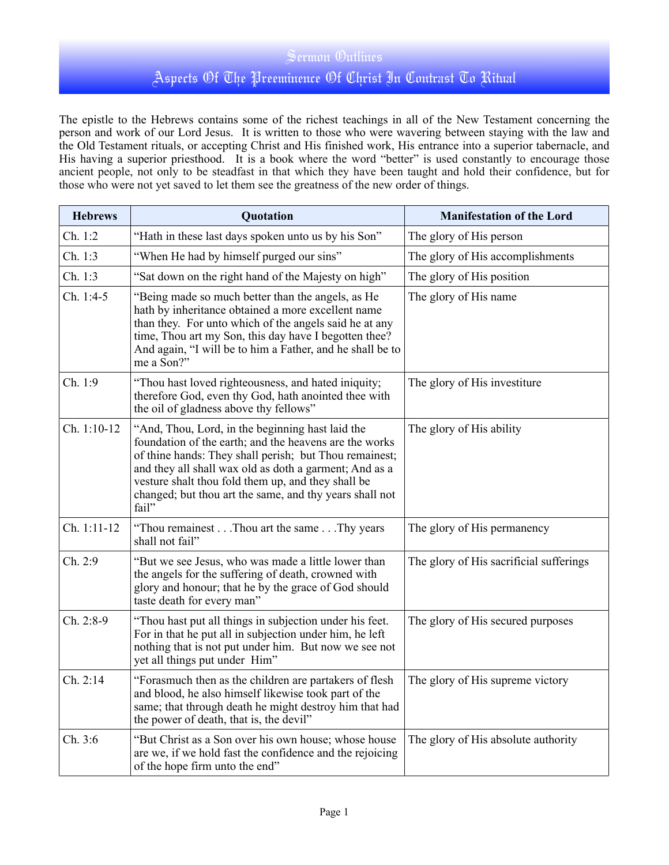## Sermon Outlines Aspects Of The Preeminence Of Christ In Contrast To Ritual

The epistle to the Hebrews contains some of the richest teachings in all of the New Testament concerning the person and work of our Lord Jesus. It is written to those who were wavering between staying with the law and the Old Testament rituals, or accepting Christ and His finished work, His entrance into a superior tabernacle, and His having a superior priesthood. It is a book where the word "better" is used constantly to encourage those ancient people, not only to be steadfast in that which they have been taught and hold their confidence, but for those who were not yet saved to let them see the greatness of the new order of things.

| <b>Hebrews</b> | Quotation                                                                                                                                                                                                                                                                                                                                                | <b>Manifestation of the Lord</b>        |
|----------------|----------------------------------------------------------------------------------------------------------------------------------------------------------------------------------------------------------------------------------------------------------------------------------------------------------------------------------------------------------|-----------------------------------------|
| Ch. 1:2        | "Hath in these last days spoken unto us by his Son"                                                                                                                                                                                                                                                                                                      | The glory of His person                 |
| Ch. 1:3        | "When He had by himself purged our sins"                                                                                                                                                                                                                                                                                                                 | The glory of His accomplishments        |
| Ch. 1:3        | "Sat down on the right hand of the Majesty on high"                                                                                                                                                                                                                                                                                                      | The glory of His position               |
| Ch. 1:4-5      | "Being made so much better than the angels, as He<br>hath by inheritance obtained a more excellent name<br>than they. For unto which of the angels said he at any<br>time, Thou art my Son, this day have I begotten thee?<br>And again, "I will be to him a Father, and he shall be to<br>me a Son?"                                                    | The glory of His name                   |
| Ch. 1:9        | "Thou hast loved righteousness, and hated iniquity;<br>therefore God, even thy God, hath anointed thee with<br>the oil of gladness above thy fellows"                                                                                                                                                                                                    | The glory of His investiture            |
| Ch. 1:10-12    | "And, Thou, Lord, in the beginning hast laid the<br>foundation of the earth; and the heavens are the works<br>of thine hands: They shall perish; but Thou remainest;<br>and they all shall wax old as doth a garment; And as a<br>vesture shalt thou fold them up, and they shall be<br>changed; but thou art the same, and thy years shall not<br>fail" | The glory of His ability                |
| Ch. 1:11-12    | "Thou remainest Thou art the same Thy years<br>shall not fail"                                                                                                                                                                                                                                                                                           | The glory of His permanency             |
| Ch. 2:9        | "But we see Jesus, who was made a little lower than<br>the angels for the suffering of death, crowned with<br>glory and honour; that he by the grace of God should<br>taste death for every man"                                                                                                                                                         | The glory of His sacrificial sufferings |
| Ch. 2:8-9      | "Thou hast put all things in subjection under his feet.<br>For in that he put all in subjection under him, he left<br>nothing that is not put under him. But now we see not<br>yet all things put under Him"                                                                                                                                             | The glory of His secured purposes       |
| Ch. 2:14       | "Forasmuch then as the children are partakers of flesh<br>and blood, he also himself likewise took part of the<br>same; that through death he might destroy him that had<br>the power of death, that is, the devil"                                                                                                                                      | The glory of His supreme victory        |
| Ch. 3:6        | "But Christ as a Son over his own house; whose house<br>are we, if we hold fast the confidence and the rejoicing<br>of the hope firm unto the end"                                                                                                                                                                                                       | The glory of His absolute authority     |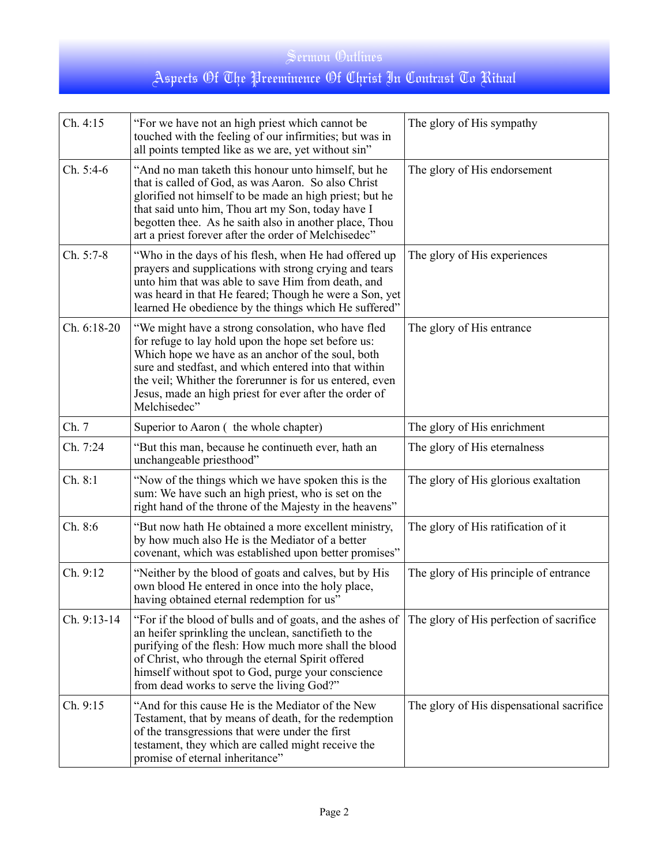## Sermon Outlines Aspects Of The Preeminence Of Christ In Contrast To Ritual

| Ch. 4:15    | "For we have not an high priest which cannot be<br>touched with the feeling of our infirmities; but was in<br>all points tempted like as we are, yet without sin"                                                                                                                                                                                             | The glory of His sympathy                 |
|-------------|---------------------------------------------------------------------------------------------------------------------------------------------------------------------------------------------------------------------------------------------------------------------------------------------------------------------------------------------------------------|-------------------------------------------|
| Ch. 5:4-6   | "And no man taketh this honour unto himself, but he<br>that is called of God, as was Aaron. So also Christ<br>glorified not himself to be made an high priest; but he<br>that said unto him, Thou art my Son, today have I<br>begotten thee. As he saith also in another place, Thou<br>art a priest forever after the order of Melchisedec"                  | The glory of His endorsement              |
| Ch. 5:7-8   | "Who in the days of his flesh, when He had offered up<br>prayers and supplications with strong crying and tears<br>unto him that was able to save Him from death, and<br>was heard in that He feared; Though he were a Son, yet<br>learned He obedience by the things which He suffered"                                                                      | The glory of His experiences              |
| Ch. 6:18-20 | "We might have a strong consolation, who have fled<br>for refuge to lay hold upon the hope set before us:<br>Which hope we have as an anchor of the soul, both<br>sure and stedfast, and which entered into that within<br>the veil; Whither the forerunner is for us entered, even<br>Jesus, made an high priest for ever after the order of<br>Melchisedec" | The glory of His entrance                 |
| Ch. 7       | Superior to Aaron (the whole chapter)                                                                                                                                                                                                                                                                                                                         | The glory of His enrichment               |
| Ch. 7:24    | "But this man, because he continueth ever, hath an<br>unchangeable priesthood"                                                                                                                                                                                                                                                                                | The glory of His eternalness              |
| Ch. 8:1     | "Now of the things which we have spoken this is the<br>sum: We have such an high priest, who is set on the<br>right hand of the throne of the Majesty in the heavens"                                                                                                                                                                                         | The glory of His glorious exaltation      |
| Ch. 8:6     | "But now hath He obtained a more excellent ministry,<br>by how much also He is the Mediator of a better<br>covenant, which was established upon better promises"                                                                                                                                                                                              | The glory of His ratification of it       |
| Ch. 9:12    | "Neither by the blood of goats and calves, but by His<br>own blood He entered in once into the holy place,<br>having obtained eternal redemption for us"                                                                                                                                                                                                      | The glory of His principle of entrance    |
| Ch. 9:13-14 | "For if the blood of bulls and of goats, and the ashes of<br>an heifer sprinkling the unclean, sanctifieth to the<br>purifying of the flesh: How much more shall the blood<br>of Christ, who through the eternal Spirit offered<br>himself without spot to God, purge your conscience<br>from dead works to serve the living God?"                            | The glory of His perfection of sacrifice  |
| Ch. 9:15    | "And for this cause He is the Mediator of the New<br>Testament, that by means of death, for the redemption<br>of the transgressions that were under the first<br>testament, they which are called might receive the<br>promise of eternal inheritance"                                                                                                        | The glory of His dispensational sacrifice |